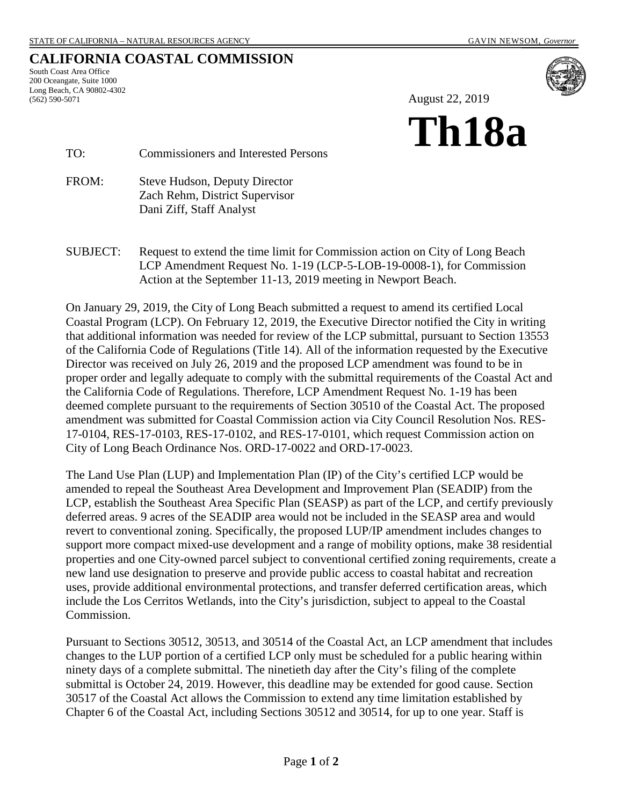## **CALIFORNIA COASTAL COMMISSION**

South Coast Area Office 200 Oceangate, Suite 1000 Long Beach, CA 90802-4302 (562) 590-5071



August 22, 2019

# **Th18a**

TO: Commissioners and Interested Persons

FROM: Steve Hudson, Deputy Director Zach Rehm, District Supervisor Dani Ziff, Staff Analyst

SUBJECT: Request to extend the time limit for Commission action on City of Long Beach LCP Amendment Request No. 1-19 (LCP-5-LOB-19-0008-1), for Commission Action at the September 11-13, 2019 meeting in Newport Beach.

On January 29, 2019, the City of Long Beach submitted a request to amend its certified Local Coastal Program (LCP). On February 12, 2019, the Executive Director notified the City in writing that additional information was needed for review of the LCP submittal, pursuant to Section 13553 of the California Code of Regulations (Title 14). All of the information requested by the Executive Director was received on July 26, 2019 and the proposed LCP amendment was found to be in proper order and legally adequate to comply with the submittal requirements of the Coastal Act and the California Code of Regulations. Therefore, LCP Amendment Request No. 1-19 has been deemed complete pursuant to the requirements of Section 30510 of the Coastal Act. The proposed amendment was submitted for Coastal Commission action via City Council Resolution Nos. RES-17-0104, RES-17-0103, RES-17-0102, and RES-17-0101, which request Commission action on City of Long Beach Ordinance Nos. ORD-17-0022 and ORD-17-0023.

The Land Use Plan (LUP) and Implementation Plan (IP) of the City's certified LCP would be amended to repeal the Southeast Area Development and Improvement Plan (SEADIP) from the LCP, establish the Southeast Area Specific Plan (SEASP) as part of the LCP, and certify previously deferred areas. 9 acres of the SEADIP area would not be included in the SEASP area and would revert to conventional zoning. Specifically, the proposed LUP/IP amendment includes changes to support more compact mixed-use development and a range of mobility options, make 38 residential properties and one City-owned parcel subject to conventional certified zoning requirements, create a new land use designation to preserve and provide public access to coastal habitat and recreation uses, provide additional environmental protections, and transfer deferred certification areas, which include the Los Cerritos Wetlands, into the City's jurisdiction, subject to appeal to the Coastal Commission.

Pursuant to Sections 30512, 30513, and 30514 of the Coastal Act, an LCP amendment that includes changes to the LUP portion of a certified LCP only must be scheduled for a public hearing within ninety days of a complete submittal. The ninetieth day after the City's filing of the complete submittal is October 24, 2019. However, this deadline may be extended for good cause. Section 30517 of the Coastal Act allows the Commission to extend any time limitation established by Chapter 6 of the Coastal Act, including Sections 30512 and 30514, for up to one year. Staff is